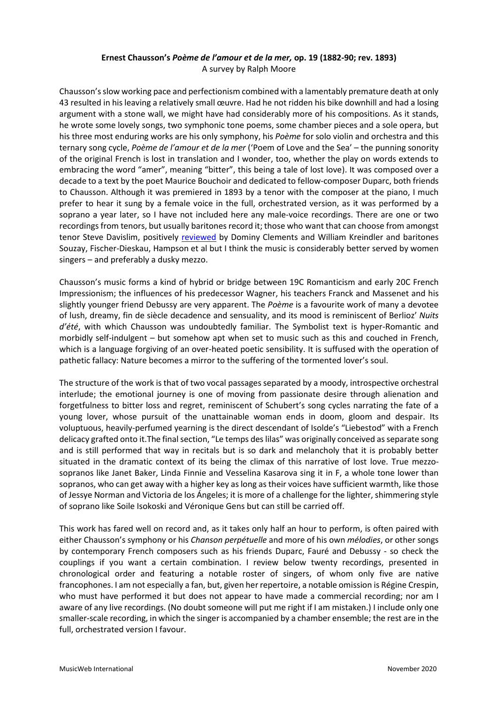# **Ernest Chausson's** *Poème de l'amour et de la mer,* **op. 19 (1882-90; rev. 1893)** A survey by Ralph Moore

Chausson's slow working pace and perfectionism combined with a lamentably premature death at only 43 resulted in his leaving a relatively small œuvre. Had he not ridden his bike downhill and had a losing argument with a stone wall, we might have had considerably more of his compositions. As it stands, he wrote some lovely songs, two symphonic tone poems, some chamber pieces and a sole opera, but his three most enduring works are his only symphony, his *Poème* for solo violin and orchestra and this ternary song cycle, *Poème de l'amour et de la mer* ('Poem of Love and the Sea' – the punning sonority of the original French is lost in translation and I wonder, too, whether the play on words extends to embracing the word "amer", meaning "bitter", this being a tale of lost love). It was composed over a decade to a text by the poet Maurice Bouchoir and dedicated to fellow-composer Duparc, both friends to Chausson. Although it was premiered in 1893 by a tenor with the composer at the piano, I much prefer to hear it sung by a female voice in the full, orchestrated version, as it was performed by a soprano a year later, so I have not included here any male-voice recordings. There are one or two recordings from tenors, but usually baritones record it; those who want that can choose from amongst tenor Steve Davislim, positively [reviewed](http://www.musicweb-international.com/classrev/2010/Feb10/Turbulent_Heart_mr301123.htm) by Dominy Clements and William Kreindler and baritones Souzay, Fischer-Dieskau, Hampson et al but I think the music is considerably better served by women singers – and preferably a dusky mezzo.

Chausson's music forms a kind of hybrid or bridge between 19C Romanticism and early 20C French Impressionism; the influences of his predecessor Wagner, his teachers Franck and Massenet and his slightly younger friend Debussy are very apparent. The *Poème* is a favourite work of many a devotee of lush, dreamy, fin de siècle decadence and sensuality, and its mood is reminiscent of Berlioz' *Nuits d'été*, with which Chausson was undoubtedly familiar. The Symbolist text is hyper-Romantic and morbidly self-indulgent – but somehow apt when set to music such as this and couched in French, which is a language forgiving of an over-heated poetic sensibility. It is suffused with the operation of pathetic fallacy: Nature becomes a mirror to the suffering of the tormented lover's soul.

The structure of the work is that of two vocal passages separated by a moody, introspective orchestral interlude; the emotional journey is one of moving from passionate desire through alienation and forgetfulness to bitter loss and regret, reminiscent of Schubert's song cycles narrating the fate of a young lover, whose pursuit of the unattainable woman ends in doom, gloom and despair. Its voluptuous, heavily-perfumed yearning is the direct descendant of Isolde's "Liebestod" with a French delicacy grafted onto it.The final section, "Le temps des lilas" was originally conceived as separate song and is still performed that way in recitals but is so dark and melancholy that it is probably better situated in the dramatic context of its being the climax of this narrative of lost love. True mezzosopranos like Janet Baker, Linda Finnie and Vesselina Kasarova sing it in F, a whole tone lower than sopranos, who can get away with a higher key as long as their voices have sufficient warmth, like those of Jessye Norman and Victoria de los Ángeles; it is more of a challenge for the lighter, shimmering style of soprano like Soile Isokoski and Véronique Gens but can still be carried off.

This work has fared well on record and, as it takes only half an hour to perform, is often paired with either Chausson's symphony or his *Chanson perpétuelle* and more of his own *mélodies*, or other songs by contemporary French composers such as his friends Duparc, Fauré and Debussy - so check the couplings if you want a certain combination. I review below twenty recordings, presented in chronological order and featuring a notable roster of singers, of whom only five are native francophones. I am not especially a fan, but, given her repertoire, a notable omission is Régine Crespin, who must have performed it but does not appear to have made a commercial recording; nor am I aware of any live recordings. (No doubt someone will put me right if I am mistaken.) I include only one smaller-scale recording, in which the singer is accompanied by a chamber ensemble; the rest are in the full, orchestrated version I favour.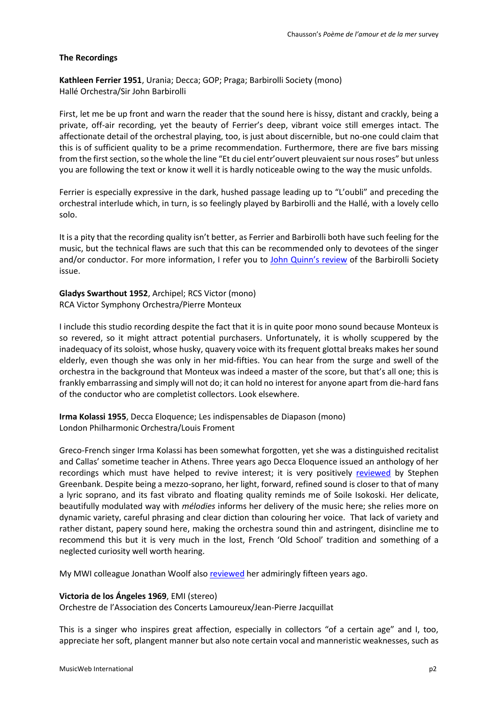#### **The Recordings**

**Kathleen Ferrier 1951**, Urania; Decca; GOP; Praga; Barbirolli Society (mono) Hallé Orchestra/Sir John Barbirolli

First, let me be up front and warn the reader that the sound here is hissy, distant and crackly, being a private, off-air recording, yet the beauty of Ferrier's deep, vibrant voice still emerges intact. The affectionate detail of the orchestral playing, too, is just about discernible, but no-one could claim that this is of sufficient quality to be a prime recommendation. Furthermore, there are five bars missing from the first section, so the whole the line "Et du ciel entr'ouvert pleuvaient sur nous roses" but unless you are following the text or know it well it is hardly noticeable owing to the way the music unfolds.

Ferrier is especially expressive in the dark, hushed passage leading up to "L'oubli" and preceding the orchestral interlude which, in turn, is so feelingly played by Barbirolli and the Hallé, with a lovely cello solo.

It is a pity that the recording quality isn't better, as Ferrier and Barbirolli both have such feeling for the music, but the technical flaws are such that this can be recommended only to devotees of the singer and/or conductor. For more information, I refer you to John [Quinn's review](http://www.musicweb-international.com/classrev/2014/Oct14/Mahler_Kindertotenlieder_SJB1080.htm) of the Barbirolli Society issue.

**Gladys Swarthout 1952**, Archipel; RCS Victor (mono) RCA Victor Symphony Orchestra/Pierre Monteux

I include this studio recording despite the fact that it is in quite poor mono sound because Monteux is so revered, so it might attract potential purchasers. Unfortunately, it is wholly scuppered by the inadequacy of its soloist, whose husky, quavery voice with its frequent glottal breaks makes her sound elderly, even though she was only in her mid-fifties. You can hear from the surge and swell of the orchestra in the background that Monteux was indeed a master of the score, but that's all one; this is frankly embarrassing and simply will not do; it can hold no interest for anyone apart from die-hard fans of the conductor who are completist collectors. Look elsewhere.

**Irma Kolassi 1955**, Decca Eloquence; Les indispensables de Diapason (mono) London Philharmonic Orchestra/Louis Froment

Greco-French singer Irma Kolassi has been somewhat forgotten, yet she was a distinguished recitalist and Callas' sometime teacher in Athens. Three years ago Decca Eloquence issued an anthology of her recordings which must have helped to revive interest; it is very positively [reviewed](http://www.musicweb-international.com/classrev/2017/Jul/Kolassi_Decca_4824637.htm) by Stephen Greenbank. Despite being a mezzo-soprano, her light, forward, refined sound is closer to that of many a lyric soprano, and its fast vibrato and floating quality reminds me of Soile Isokoski. Her delicate, beautifully modulated way with *mélodies* informs her delivery of the music here; she relies more on dynamic variety, careful phrasing and clear diction than colouring her voice. That lack of variety and rather distant, papery sound here, making the orchestra sound thin and astringent, disincline me to recommend this but it is very much in the lost, French 'Old School' tradition and something of a neglected curiosity well worth hearing.

My MWI colleague Jonathan Woolf also [reviewed](http://www.musicweb-international.com/classrev/2005/Oct05/Chausson_Symphony_476762.htm) her admiringly fifteen years ago.

## **Victoria de los Ángeles 1969**, EMI (stereo)

Orchestre de l'Association des Concerts Lamoureux/Jean-Pierre Jacquillat

This is a singer who inspires great affection, especially in collectors "of a certain age" and I, too, appreciate her soft, plangent manner but also note certain vocal and manneristic weaknesses, such as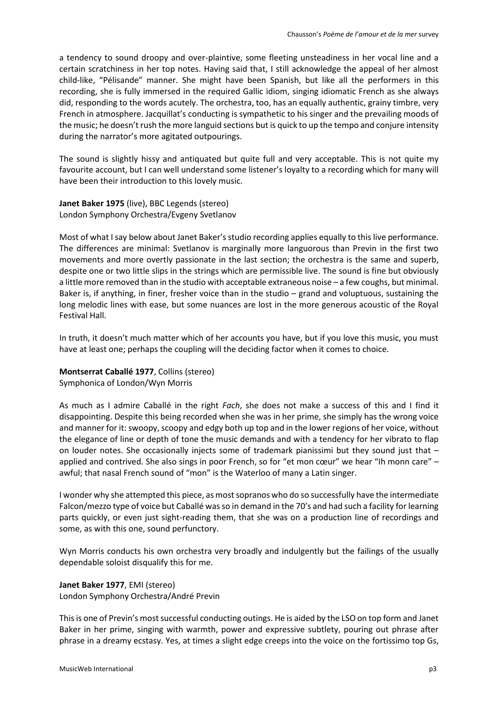a tendency to sound droopy and over-plaintive, some fleeting unsteadiness in her vocal line and a certain scratchiness in her top notes. Having said that, I still acknowledge the appeal of her almost child-like, "Pélisande" manner. She might have been Spanish, but like all the performers in this recording, she is fully immersed in the required Gallic idiom, singing idiomatic French as she always did, responding to the words acutely. The orchestra, too, has an equally authentic, grainy timbre, very French in atmosphere. Jacquillat's conducting is sympathetic to his singer and the prevailing moods of the music; he doesn't rush the more languid sections but is quick to up the tempo and conjure intensity during the narrator's more agitated outpourings.

The sound is slightly hissy and antiquated but quite full and very acceptable. This is not quite my favourite account, but I can well understand some listener's loyalty to a recording which for many will have been their introduction to this lovely music.

**Janet Baker 1975** (live), BBC Legends (stereo) London Symphony Orchestra/Evgeny Svetlanov

Most of what I say below about Janet Baker's studio recording applies equally to this live performance. The differences are minimal: Svetlanov is marginally more languorous than Previn in the first two movements and more overtly passionate in the last section; the orchestra is the same and superb, despite one or two little slips in the strings which are permissible live. The sound is fine but obviously a little more removed than in the studio with acceptable extraneous noise – a few coughs, but minimal. Baker is, if anything, in finer, fresher voice than in the studio – grand and voluptuous, sustaining the long melodic lines with ease, but some nuances are lost in the more generous acoustic of the Royal Festival Hall.

In truth, it doesn't much matter which of her accounts you have, but if you love this music, you must have at least one; perhaps the coupling will the deciding factor when it comes to choice.

## **Montserrat Caballé 1977**, Collins (stereo) Symphonica of London/Wyn Morris

As much as I admire Caballé in the right *Fach*, she does not make a success of this and I find it disappointing. Despite this being recorded when she was in her prime, she simply has the wrong voice and manner for it: swoopy, scoopy and edgy both up top and in the lower regions of her voice, without the elegance of line or depth of tone the music demands and with a tendency for her vibrato to flap on louder notes. She occasionally injects some of trademark pianissimi but they sound just that – applied and contrived. She also sings in poor French, so for "et mon cœur" we hear "Ih monn care" – awful; that nasal French sound of "mon" is the Waterloo of many a Latin singer.

I wonder why she attempted this piece, as most sopranos who do so successfully have the intermediate Falcon/mezzo type of voice but Caballé was so in demand in the 70's and had such a facility for learning parts quickly, or even just sight-reading them, that she was on a production line of recordings and some, as with this one, sound perfunctory.

Wyn Morris conducts his own orchestra very broadly and indulgently but the failings of the usually dependable soloist disqualify this for me.

## **Janet Baker 1977**, EMI (stereo)

London Symphony Orchestra/André Previn

This is one of Previn's most successful conducting outings. He is aided by the LSO on top form and Janet Baker in her prime, singing with warmth, power and expressive subtlety, pouring out phrase after phrase in a dreamy ecstasy. Yes, at times a slight edge creeps into the voice on the fortissimo top Gs,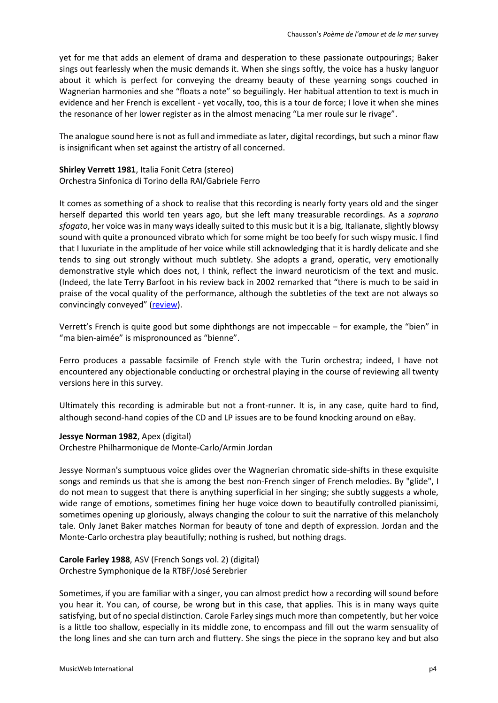yet for me that adds an element of drama and desperation to these passionate outpourings; Baker sings out fearlessly when the music demands it. When she sings softly, the voice has a husky languor about it which is perfect for conveying the dreamy beauty of these yearning songs couched in Wagnerian harmonies and she "floats a note" so beguilingly. Her habitual attention to text is much in evidence and her French is excellent - yet vocally, too, this is a tour de force; I love it when she mines the resonance of her lower register as in the almost menacing "La mer roule sur le rivage".

The analogue sound here is not as full and immediate as later, digital recordings, but such a minor flaw is insignificant when set against the artistry of all concerned.

**Shirley Verrett 1981**, Italia Fonit Cetra (stereo) Orchestra Sinfonica di Torino della RAI/Gabriele Ferro

It comes as something of a shock to realise that this recording is nearly forty years old and the singer herself departed this world ten years ago, but she left many treasurable recordings. As a *soprano sfogato*, her voice was in many ways ideally suited to this music but it is a big, Italianate, slightly blowsy sound with quite a pronounced vibrato which for some might be too beefy for such wispy music. I find that I luxuriate in the amplitude of her voice while still acknowledging that it is hardly delicate and she tends to sing out strongly without much subtlety. She adopts a grand, operatic, very emotionally demonstrative style which does not, I think, reflect the inward neuroticism of the text and music. (Indeed, the late Terry Barfoot in his review back in 2002 remarked that "there is much to be said in praise of the vocal quality of the performance, although the subtleties of the text are not always so convincingly conveyed" [\(review\)](http://www.musicweb-international.com/classrev/2002/July02/Verrett.htm).

Verrett's French is quite good but some diphthongs are not impeccable – for example, the "bien" in "ma bien-aimée" is mispronounced as "bienne".

Ferro produces a passable facsimile of French style with the Turin orchestra; indeed, I have not encountered any objectionable conducting or orchestral playing in the course of reviewing all twenty versions here in this survey.

Ultimately this recording is admirable but not a front-runner. It is, in any case, quite hard to find, although second-hand copies of the CD and LP issues are to be found knocking around on eBay.

## **Jessye Norman 1982**, Apex (digital)

Orchestre Philharmonique de Monte-Carlo/Armin Jordan

Jessye Norman's sumptuous voice glides over the Wagnerian chromatic side-shifts in these exquisite songs and reminds us that she is among the best non-French singer of French melodies. By "glide", I do not mean to suggest that there is anything superficial in her singing; she subtly suggests a whole, wide range of emotions, sometimes fining her huge voice down to beautifully controlled pianissimi, sometimes opening up gloriously, always changing the colour to suit the narrative of this melancholy tale. Only Janet Baker matches Norman for beauty of tone and depth of expression. Jordan and the Monte-Carlo orchestra play beautifully; nothing is rushed, but nothing drags.

**Carole Farley 1988**, ASV (French Songs vol. 2) (digital) Orchestre Symphonique de la RTBF/José Serebrier

Sometimes, if you are familiar with a singer, you can almost predict how a recording will sound before you hear it. You can, of course, be wrong but in this case, that applies. This is in many ways quite satisfying, but of no special distinction. Carole Farley sings much more than competently, but her voice is a little too shallow, especially in its middle zone, to encompass and fill out the warm sensuality of the long lines and she can turn arch and fluttery. She sings the piece in the soprano key and but also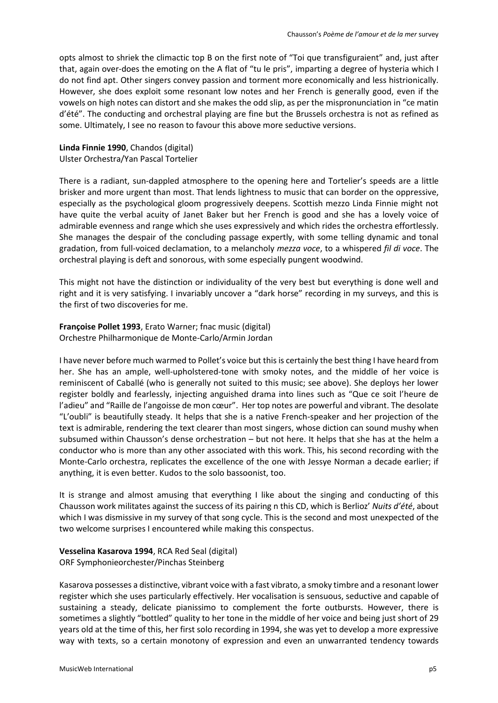opts almost to shriek the climactic top B on the first note of "Toi que transfiguraient" and, just after that, again over-does the emoting on the A flat of "tu le pris", imparting a degree of hysteria which I do not find apt. Other singers convey passion and torment more economically and less histrionically. However, she does exploit some resonant low notes and her French is generally good, even if the vowels on high notes can distort and she makes the odd slip, as per the mispronunciation in "ce matin d'été". The conducting and orchestral playing are fine but the Brussels orchestra is not as refined as some. Ultimately, I see no reason to favour this above more seductive versions.

# **Linda Finnie 1990**, Chandos (digital)

Ulster Orchestra/Yan Pascal Tortelier

There is a radiant, sun-dappled atmosphere to the opening here and Tortelier's speeds are a little brisker and more urgent than most. That lends lightness to music that can border on the oppressive, especially as the psychological gloom progressively deepens. Scottish mezzo Linda Finnie might not have quite the verbal acuity of Janet Baker but her French is good and she has a lovely voice of admirable evenness and range which she uses expressively and which rides the orchestra effortlessly. She manages the despair of the concluding passage expertly, with some telling dynamic and tonal gradation, from full-voiced declamation, to a melancholy *mezza voce*, to a whispered *fil di voce*. The orchestral playing is deft and sonorous, with some especially pungent woodwind.

This might not have the distinction or individuality of the very best but everything is done well and right and it is very satisfying. I invariably uncover a "dark horse" recording in my surveys, and this is the first of two discoveries for me.

**Françoise Pollet 1993**, Erato Warner; fnac music (digital) Orchestre Philharmonique de Monte-Carlo/Armin Jordan

I have never before much warmed to Pollet's voice but this is certainly the best thing I have heard from her. She has an ample, well-upholstered-tone with smoky notes, and the middle of her voice is reminiscent of Caballé (who is generally not suited to this music; see above). She deploys her lower register boldly and fearlessly, injecting anguished drama into lines such as "Que ce soit l'heure de l'adieu" and "Raille de l'angoisse de mon cœur". Her top notes are powerful and vibrant. The desolate "L'oubli" is beautifully steady. It helps that she is a native French-speaker and her projection of the text is admirable, rendering the text clearer than most singers, whose diction can sound mushy when subsumed within Chausson's dense orchestration – but not here. It helps that she has at the helm a conductor who is more than any other associated with this work. This, his second recording with the Monte-Carlo orchestra, replicates the excellence of the one with Jessye Norman a decade earlier; if anything, it is even better. Kudos to the solo bassoonist, too.

It is strange and almost amusing that everything I like about the singing and conducting of this Chausson work militates against the success of its pairing n this CD, which is Berlioz' *Nuits d'été*, about which I was dismissive in my survey of that song cycle. This is the second and most unexpected of the two welcome surprises I encountered while making this conspectus.

## **Vesselina Kasarova 1994**, RCA Red Seal (digital) ORF Symphonieorchester/Pinchas Steinberg

Kasarova possesses a distinctive, vibrant voice with a fast vibrato, a smoky timbre and a resonant lower register which she uses particularly effectively. Her vocalisation is sensuous, seductive and capable of sustaining a steady, delicate pianissimo to complement the forte outbursts. However, there is sometimes a slightly "bottled" quality to her tone in the middle of her voice and being just short of 29 years old at the time of this, her first solo recording in 1994, she was yet to develop a more expressive way with texts, so a certain monotony of expression and even an unwarranted tendency towards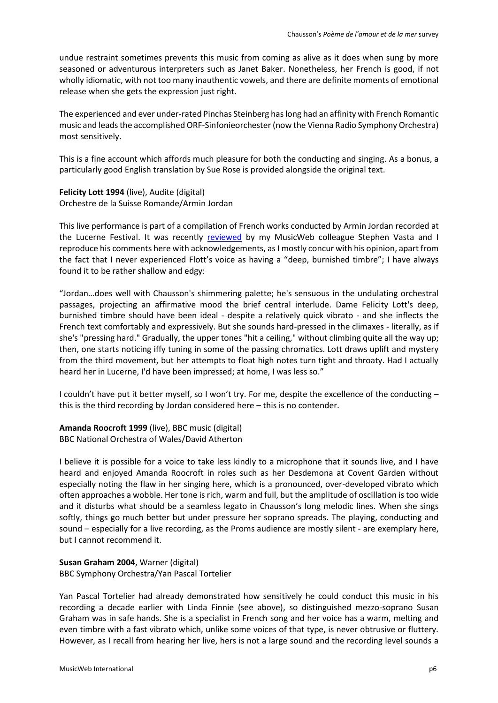undue restraint sometimes prevents this music from coming as alive as it does when sung by more seasoned or adventurous interpreters such as Janet Baker. Nonetheless, her French is good, if not wholly idiomatic, with not too many inauthentic vowels, and there are definite moments of emotional release when she gets the expression just right.

The experienced and ever under-rated Pinchas Steinberg has long had an affinity with French Romantic music and leads the accomplished ORF-Sinfonieorchester (now the Vienna Radio Symphony Orchestra) most sensitively.

This is a fine account which affords much pleasure for both the conducting and singing. As a bonus, a particularly good English translation by Sue Rose is provided alongside the original text.

**Felicity Lott 1994** (live), Audite (digital) Orchestre de la Suisse Romande/Armin Jordan

This live performance is part of a compilation of French works conducted by Armin Jordan recorded at the Lucerne Festival. It was recently [reviewed](http://musicweb-international.com/classrev/2020/Oct/Jordan-Lucerne-95648.htm) by my MusicWeb colleague Stephen Vasta and I reproduce his comments here with acknowledgements, as I mostly concur with his opinion, apart from the fact that I never experienced Flott's voice as having a "deep, burnished timbre"; I have always found it to be rather shallow and edgy:

"Jordan…does well with Chausson's shimmering palette; he's sensuous in the undulating orchestral passages, projecting an affirmative mood the brief central interlude. Dame Felicity Lott's deep, burnished timbre should have been ideal - despite a relatively quick vibrato - and she inflects the French text comfortably and expressively. But she sounds hard-pressed in the climaxes - literally, as if she's "pressing hard." Gradually, the upper tones "hit a ceiling," without climbing quite all the way up; then, one starts noticing iffy tuning in some of the passing chromatics. Lott draws uplift and mystery from the third movement, but her attempts to float high notes turn tight and throaty. Had I actually heard her in Lucerne, I'd have been impressed; at home, I was less so."

I couldn't have put it better myself, so I won't try. For me, despite the excellence of the conducting – this is the third recording by Jordan considered here – this is no contender.

**Amanda Roocroft 1999** (live), BBC music (digital) BBC National Orchestra of Wales/David Atherton

I believe it is possible for a voice to take less kindly to a microphone that it sounds live, and I have heard and enjoyed Amanda Roocroft in roles such as her Desdemona at Covent Garden without especially noting the flaw in her singing here, which is a pronounced, over-developed vibrato which often approaches a wobble. Her tone is rich, warm and full, but the amplitude of oscillation is too wide and it disturbs what should be a seamless legato in Chausson's long melodic lines. When she sings softly, things go much better but under pressure her soprano spreads. The playing, conducting and sound – especially for a live recording, as the Proms audience are mostly silent - are exemplary here, but I cannot recommend it.

**Susan Graham 2004**, Warner (digital) BBC Symphony Orchestra/Yan Pascal Tortelier

Yan Pascal Tortelier had already demonstrated how sensitively he could conduct this music in his recording a decade earlier with Linda Finnie (see above), so distinguished mezzo-soprano Susan Graham was in safe hands. She is a specialist in French song and her voice has a warm, melting and even timbre with a fast vibrato which, unlike some voices of that type, is never obtrusive or fluttery. However, as I recall from hearing her live, hers is not a large sound and the recording level sounds a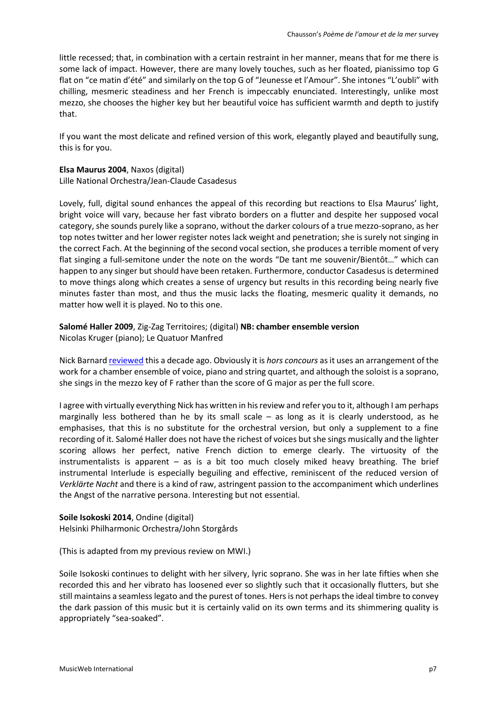little recessed; that, in combination with a certain restraint in her manner, means that for me there is some lack of impact. However, there are many lovely touches, such as her floated, pianissimo top G flat on "ce matin d'été" and similarly on the top G of "Jeunesse et l'Amour". She intones "L'oubli" with chilling, mesmeric steadiness and her French is impeccably enunciated. Interestingly, unlike most mezzo, she chooses the higher key but her beautiful voice has sufficient warmth and depth to justify that.

If you want the most delicate and refined version of this work, elegantly played and beautifully sung, this is for you.

#### **Elsa Maurus 2004**, Naxos (digital)

Lille National Orchestra/Jean-Claude Casadesus

Lovely, full, digital sound enhances the appeal of this recording but reactions to Elsa Maurus' light, bright voice will vary, because her fast vibrato borders on a flutter and despite her supposed vocal category, she sounds purely like a soprano, without the darker colours of a true mezzo-soprano, as her top notes twitter and her lower register notes lack weight and penetration; she is surely not singing in the correct Fach. At the beginning of the second vocal section, she produces a terrible moment of very flat singing a full-semitone under the note on the words "De tant me souvenir/Bientôt…" which can happen to any singer but should have been retaken. Furthermore, conductor Casadesus is determined to move things along which creates a sense of urgency but results in this recording being nearly five minutes faster than most, and thus the music lacks the floating, mesmeric quality it demands, no matter how well it is played. No to this one.

# **Salomé Haller 2009**, Zig-Zag Territoires; (digital) **NB: chamber ensemble version** Nicolas Kruger (piano); Le Quatuor Manfred

Nick Barnard [reviewed](http://www.musicweb-international.com/classrev/2010/Sept10/Chausson_Poeme_ZZT100402.htm) this a decade ago. Obviously it is *hors concours* as it uses an arrangement of the work for a chamber ensemble of voice, piano and string quartet, and although the soloist is a soprano, she sings in the mezzo key of F rather than the score of G major as per the full score.

I agree with virtually everything Nick has written in his review and refer you to it, although I am perhaps marginally less bothered than he by its small scale  $-$  as long as it is clearly understood, as he emphasises, that this is no substitute for the orchestral version, but only a supplement to a fine recording of it. Salomé Haller does not have the richest of voices but she sings musically and the lighter scoring allows her perfect, native French diction to emerge clearly. The virtuosity of the instrumentalists is apparent – as is a bit too much closely miked heavy breathing. The brief instrumental Interlude is especially beguiling and effective, reminiscent of the reduced version of *Verklärte Nacht* and there is a kind of raw, astringent passion to the accompaniment which underlines the Angst of the narrative persona. Interesting but not essential.

# **Soile Isokoski 2014**, Ondine (digital) Helsinki Philharmonic Orchestra/John Storgårds

(This is adapted from my previous review on MWI.)

Soile Isokoski continues to delight with her silvery, lyric soprano. She was in her late fifties when she recorded this and her vibrato has loosened ever so slightly such that it occasionally flutters, but she still maintains a seamless legato and the purest of tones. Hers is not perhaps the ideal timbre to convey the dark passion of this music but it is certainly valid on its own terms and its shimmering quality is appropriately "sea-soaked".